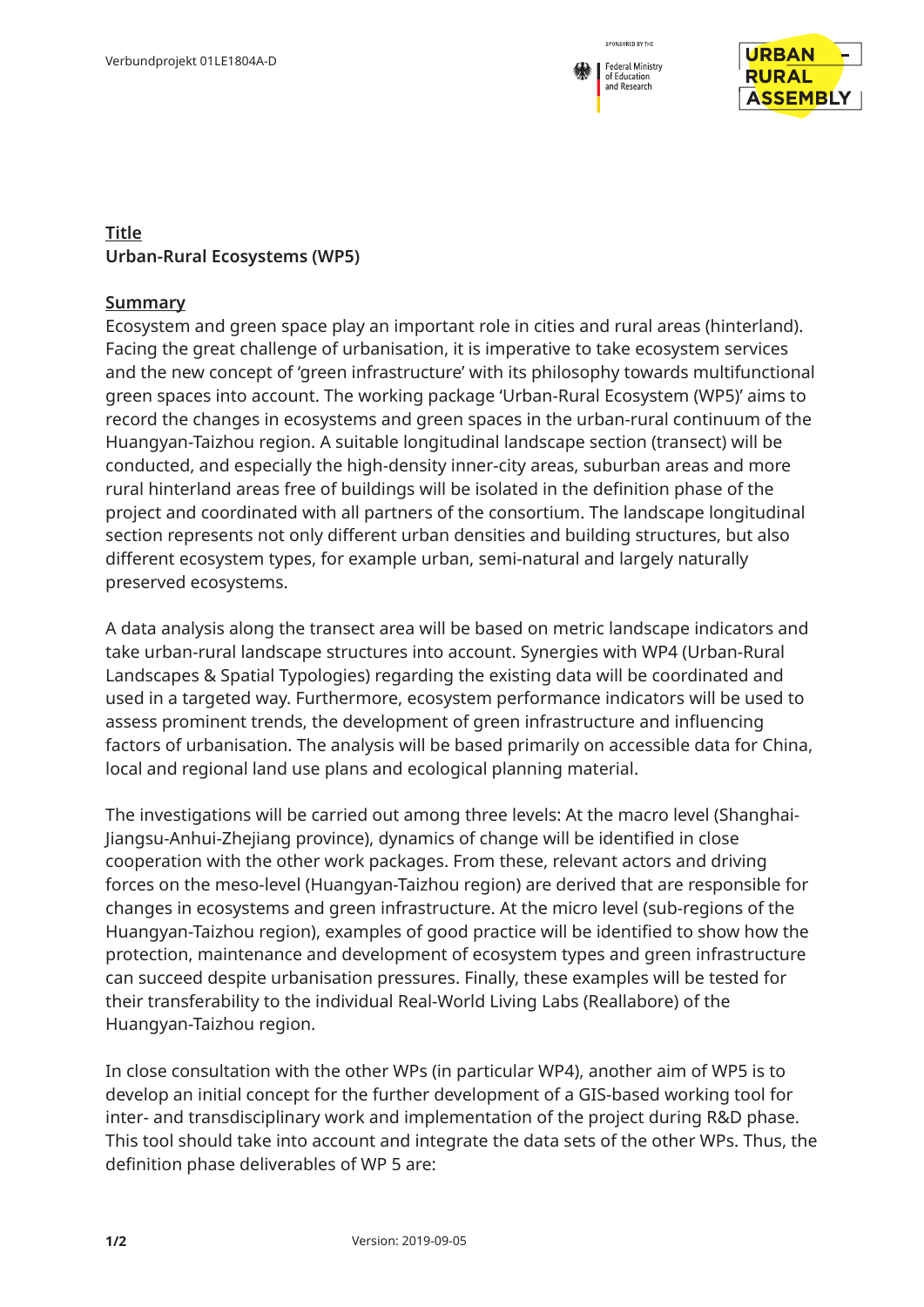



## **Title Urban-Rural Ecosystems (WP5)**

## **Summary**

Ecosystem and green space play an important role in cities and rural areas (hinterland). Facing the great challenge of urbanisation, it is imperative to take ecosystem services and the new concept of 'green infrastructure' with its philosophy towards multifunctional green spaces into account. The working package 'Urban-Rural Ecosystem (WP5)' aims to record the changes in ecosystems and green spaces in the urban-rural continuum of the Huangyan-Taizhou region. A suitable longitudinal landscape section (transect) will be conducted, and especially the high-density inner-city areas, suburban areas and more rural hinterland areas free of buildings will be isolated in the definition phase of the project and coordinated with all partners of the consortium. The landscape longitudinal section represents not only different urban densities and building structures, but also different ecosystem types, for example urban, semi-natural and largely naturally preserved ecosystems.

A data analysis along the transect area will be based on metric landscape indicators and take urban-rural landscape structures into account. Synergies with WP4 (Urban-Rural Landscapes & Spatial Typologies) regarding the existing data will be coordinated and used in a targeted way. Furthermore, ecosystem performance indicators will be used to assess prominent trends, the development of green infrastructure and influencing factors of urbanisation. The analysis will be based primarily on accessible data for China, local and regional land use plans and ecological planning material.

The investigations will be carried out among three levels: At the macro level (Shanghai-Jiangsu-Anhui-Zhejiang province), dynamics of change will be identified in close cooperation with the other work packages. From these, relevant actors and driving forces on the meso-level (Huangyan-Taizhou region) are derived that are responsible for changes in ecosystems and green infrastructure. At the micro level (sub-regions of the Huangyan-Taizhou region), examples of good practice will be identified to show how the protection, maintenance and development of ecosystem types and green infrastructure can succeed despite urbanisation pressures. Finally, these examples will be tested for their transferability to the individual Real-World Living Labs (Reallabore) of the Huangyan-Taizhou region.

In close consultation with the other WPs (in particular WP4), another aim of WP5 is to develop an initial concept for the further development of a GIS-based working tool for inter- and transdisciplinary work and implementation of the project during R&D phase. This tool should take into account and integrate the data sets of the other WPs. Thus, the definition phase deliverables of WP 5 are: